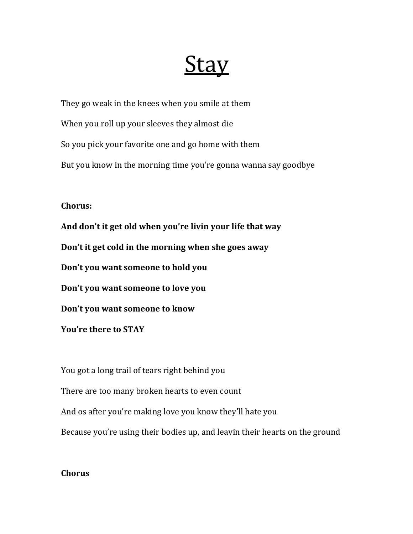## <u>Stay</u>

They go weak in the knees when you smile at them When you roll up your sleeves they almost die So you pick your favorite one and go home with them But you know in the morning time you're gonna wanna say goodbye

## **Chorus:**

And don't it get old when you're livin your life that way Don't it get cold in the morning when she goes away Don't you want someone to hold you Don't you want someone to love you Don't you want someone to know **You're there to STAY** 

You got a long trail of tears right behind you There are too many broken hearts to even count And os after you're making love you know they'll hate you Because you're using their bodies up, and leavin their hearts on the ground

## **Chorus**